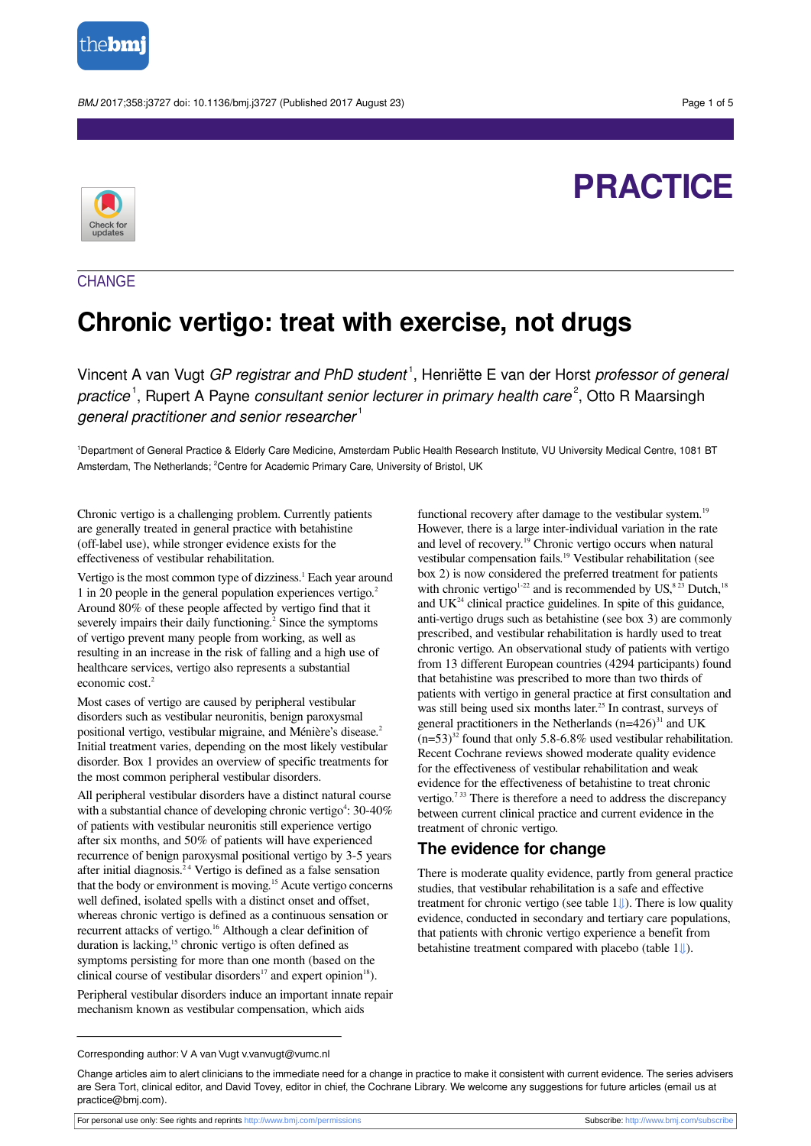

BMJ 2017;358:j3727 doi: 10.1136/bmj.j3727 (Published 2017 August 23) Page 1 of 5

# **PRACTICE**



## **CHANGE**

## **Chronic vertigo: treat with exercise, not drugs**

Vincent A van Vugt GP registrar and PhD student<sup>1</sup>, Henriëtte E van der Horst professor of general practice<sup>1</sup>, Rupert A Payne consultant senior lecturer in primary health care<sup>2</sup>, Otto R Maarsingh general practitioner and senior researcher $^{\rm 1}$ 

<sup>1</sup>Department of General Practice & Elderly Care Medicine, Amsterdam Public Health Research Institute, VU University Medical Centre, 1081 BT Amsterdam, The Netherlands; <sup>2</sup>Centre for Academic Primary Care, University of Bristol, UK

Chronic vertigo is a challenging problem. Currently patients are generally treated in general practice with betahistine (off-label use), while stronger evidence exists for the effectiveness of vestibular rehabilitation.

Vertigo is the most common type of dizziness.<sup>1</sup> Each year around 1 in 20 people in the general population experiences vertigo. 2 Around 80% of these people affected by vertigo find that it severely impairs their daily functioning.<sup>2</sup> Since the symptoms of vertigo prevent many people from working, as well as resulting in an increase in the risk of falling and a high use of healthcare services, vertigo also represents a substantial economic cost.<sup>2</sup>

Most cases of vertigo are caused by peripheral vestibular disorders such as vestibular neuronitis, benign paroxysmal positional vertigo, vestibular migraine, and Ménière's disease. 2 Initial treatment varies, depending on the most likely vestibular disorder. Box 1 provides an overview of specific treatments for the most common peripheral vestibular disorders.

All peripheral vestibular disorders have a distinct natural course with a substantial chance of developing chronic vertigo<sup>4</sup>: 30-40% of patients with vestibular neuronitis still experience vertigo after six months, and 50% of patients will have experienced recurrence of benign paroxysmal positional vertigo by 3-5 years after initial diagnosis.<sup>24</sup> Vertigo is defined as a false sensation that the body or environment is moving. <sup>15</sup> Acute vertigo concerns well defined, isolated spells with a distinct onset and offset, whereas chronic vertigo is defined as a continuous sensation or recurrent attacks of vertigo. <sup>16</sup> Although a clear definition of duration is lacking, <sup>15</sup> chronic vertigo is often defined as symptoms persisting for more than one month (based on the clinical course of vestibular disorders <sup>17</sup> and expert opinion <sup>18</sup>).

Peripheral vestibular disorders induce an important innate repair mechanism known as vestibular compensation, which aids

functional recovery after damage to the vestibular system.<sup>19</sup> However, there is a large inter-individual variation in the rate and level of recovery. <sup>19</sup> Chronic vertigo occurs when natural vestibular compensation fails. <sup>19</sup> Vestibular rehabilitation (see box 2) is now considered the preferred treatment for patients with chronic vertigo<sup>1-22</sup> and is recommended by US,<sup>8 23</sup> Dutch,<sup>18</sup> and  $UK<sup>24</sup>$  clinical practice guidelines. In spite of this guidance, anti-vertigo drugs such as betahistine (see box 3) are commonly prescribed, and vestibular rehabilitation is hardly used to treat chronic vertigo. An observational study of patients with vertigo from 13 different European countries (4294 participants) found that betahistine was prescribed to more than two thirds of patients with vertigo in general practice at first consultation and was still being used six months later. <sup>25</sup> In contrast, surveys of general practitioners in the Netherlands  $(n=426)^{31}$  and UK  $(n=53)^{32}$  found that only 5.8-6.8% used vestibular rehabilitation. Recent Cochrane reviews showed moderate quality evidence for the effectiveness of vestibular rehabilitation and weak evidence for the effectiveness of betahistine to treat chronic vertigo.<sup>733</sup> There is therefore a need to address the discrepancy between current clinical practice and current evidence in the treatment of chronic vertigo.

## **The evidence for change**

There is moderate quality evidence, partly from general practice studies, that vestibular rehabilitation is a safe and effective treatment for chronic vertigo (see table  $1 \downarrow$ ). There is low quality evidence, conducted in secondary and tertiary care populations, that patients with chronic vertigo experience a benefit from betahistine treatment compared with placebo (table 1[⇓\)](#page-4-0).

Corresponding author: V A van Vugt v.vanvugt@vumc.nl

Change articles aim to alert clinicians to the immediate need for a change in practice to make it consistent with current evidence. The series advisers are Sera Tort, clinical editor, and David Tovey, editor in chief, the Cochrane Library. We welcome any suggestions for future articles (email us at practice@bmj.com).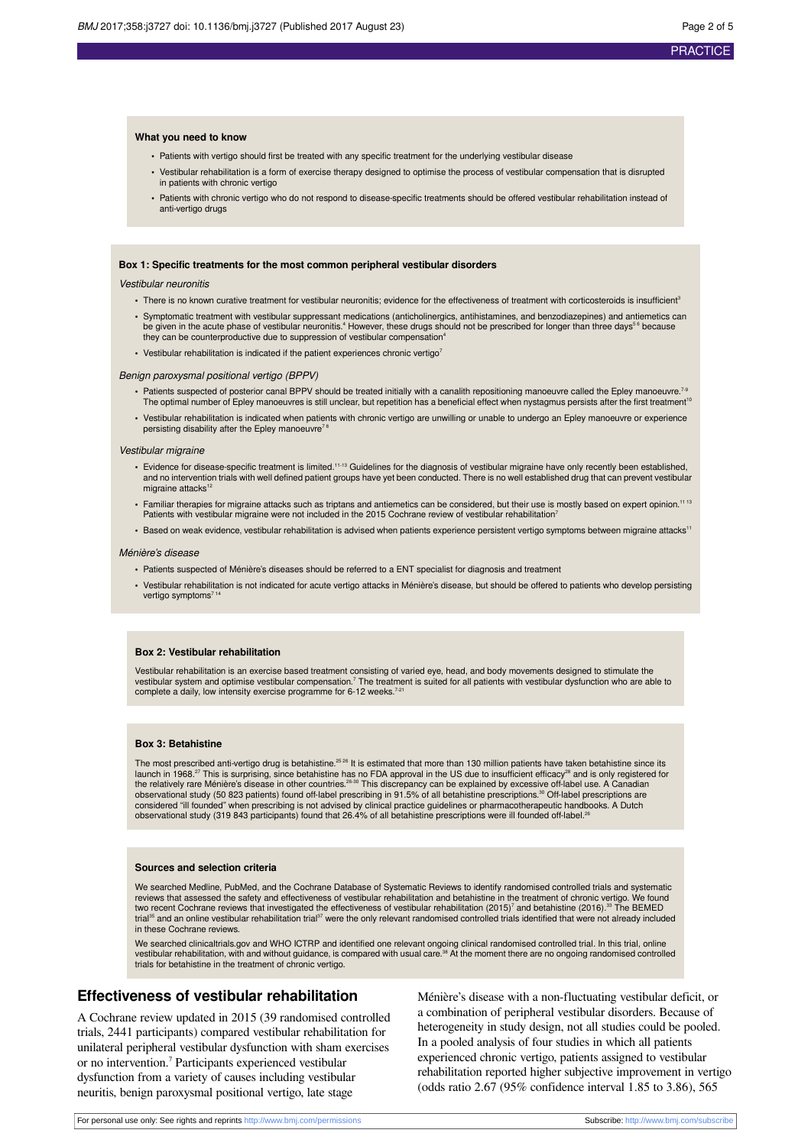#### **What you need to know**

- **•** Patients with vertigo should first be treated with any specific treatment for the underlying vestibular disease
- **•** Vestibular rehabilitation is a form of exercise therapy designed to optimise the process of vestibular compensation that is disrupted in patients with chronic vertigo
- **•** Patients with chronic vertigo who do not respond to disease-specific treatments should be offered vestibular rehabilitation instead of anti-vertigo drugs

#### **Box 1: Specific treatments for the most common peripheral vestibular disorders**

#### Vestibular neuronitis

- There is no known curative treatment for vestibular neuronitis; evidence for the effectiveness of treatment with corticosteroids is insufficient<sup>3</sup>
- **•** Symptomatic treatment with vestibular suppressant medications (anticholinergics, antihistamines, and benzodiazepines) and antiemetics can be given in the acute phase of vestibular neuronitis.<sup>4</sup> However, these drugs should not be prescribed for longer than three days<sup>56</sup> because they can be counterproductive due to suppression of vestibular compensation 4
- Vestibular rehabilitation is indicated if the patient experiences chronic vertigo<sup>7</sup>

#### Benign paroxysmal positional vertigo (BPPV)

- Patients suspected of posterior canal BPPV should be treated initially with a canalith repositioning manoeuvre called the Epley manoeuvre.<sup>74</sup><br>"The optimal number of Epley manoeuvres is still unclear, but repetition has
- **•** Vestibular rehabilitation is indicated when patients with chronic vertigo are unwilling or unable to undergo an Epley manoeuvre or experience persisting disability after the Epley manoeuvre<sup>78</sup>

#### Vestibular migraine

- Evidence for disease-specific treatment is limited.<sup>11-13</sup> Guidelines for the diagnosis of vestibular migraine have only recently been established, and no intervention trials with well defined patient groups have yet been conducted. There is no well established drug that can prevent vestibular migraine attacks<sup>12</sup>
- Familiar therapies for migraine attacks such as triptans and antiemetics can be considered, but their use is mostly based on expert opinion.<sup>1113</sup> Patients with vestibular migraine were not included in the 2015 Cochrane review of vestibular rehabilitation<sup>7</sup>
- Based on weak evidence, vestibular rehabilitation is advised when patients experience persistent vertigo symptoms between migraine attacks<sup>11</sup>

#### Ménière's disease

- **•** Patients suspected of Ménière's diseases should be referred to a ENT specialist for diagnosis and treatment
- Vestibular rehabilitation is not indicated for acute vertigo attacks in Ménière's disease, but should be offered to patients who develop persisting vertigo symptoms<sup>714</sup>

#### **Box 2: Vestibular rehabilitation**

Vestibular rehabilitation is an exercise based treatment consisting of varied eye, head, and body movements designed to stimulate the vestibular system and optimise vestibular compensation.<sup>7</sup> The treatment is suited for all patients with vestibular dysfunction who are able to<br>complete a daily, low intensity exercise programme for 6-12 weeks.<sup>7-21</sup>

#### **Box 3: Betahistine**

The most prescribed anti-vertigo drug is betahistine.<sup>25 26</sup> It is estimated that more than 130 million patients have taken betahistine since its launch in 1968.<sup>27</sup> This is surprising, since betahistine has no FDA approval in the US due to insufficient efficacy<sup>28</sup> and is only registered for<br>the relatively rare Ménière's disease in other countries.<sup>26:30</sup> This disc considered "ill founded" when prescribing is not advised by clinical practice guidelines or pharmacotherapeutic handbooks. A Dutch observational study (319 843 participants) found that 26.4% of all betahistine prescriptions were ill founded off-label.<sup>26</sup>

#### **Sources and selection criteria**

We searched Medline, PubMed, and the Cochrane Database of Systematic Reviews to identify randomised controlled trials and systematic reviews that assessed the safety and effectiveness of vestibular rehabilitation and betahistine in the treatment of chronic vertigo. We found<br>two recent Cochrane reviews that investigated the effectiveness of vestibular re trial<sup>35</sup> and an online vestibular rehabilitation trial<sup>37</sup> were the only relevant randomised controlled trials identified that were not already included in these Cochrane reviews.

We searched clinicaltrials.gov and WHO ICTRP and identified one relevant ongoing clinical randomised controlled trial. In this trial, online vestibular rehabilitation, with and without guidance, is compared with usual care. <sup>38</sup> At the moment there are no ongoing randomised controlled trials for betahistine in the treatment of chronic vertigo.

#### **Effectiveness of vestibular rehabilitation**

A Cochrane review updated in 2015 (39 randomised controlled trials, 2441 participants) compared vestibular rehabilitation for unilateral peripheral vestibular dysfunction with sham exercises or no intervention. 7 Participants experienced vestibular dysfunction from a variety of causes including vestibular neuritis, benign paroxysmal positional vertigo, late stage

Ménière's disease with a non-fluctuating vestibular deficit, or a combination of peripheral vestibular disorders. Because of heterogeneity in study design, not all studies could be pooled. In a pooled analysis of four studies in which all patients experienced chronic vertigo, patients assigned to vestibular rehabilitation reported higher subjective improvement in vertigo (odds ratio 2.67 (95% confidence interval 1.85 to 3.86), 565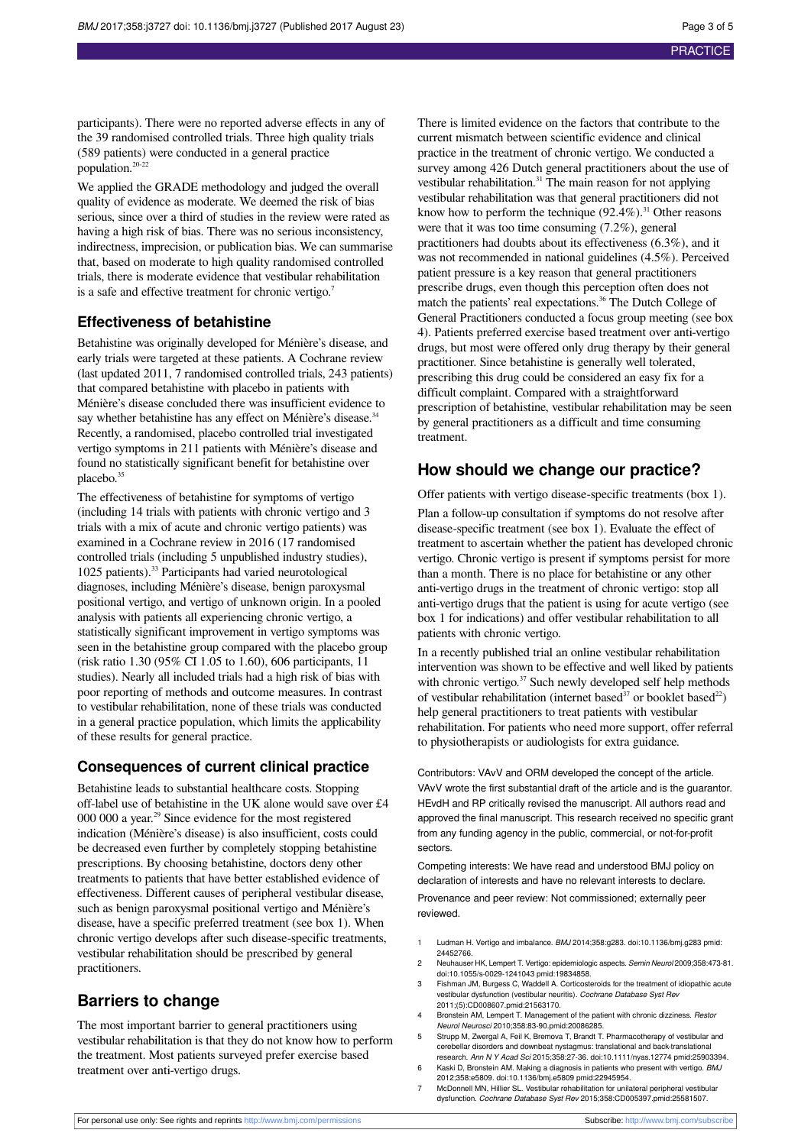participants). There were no reported adverse effects in any of the 39 randomised controlled trials. Three high quality trials (589 patients) were conducted in a general practice population. 20-22

We applied the GRADE methodology and judged the overall quality of evidence as moderate. We deemed the risk of bias serious, since over a third of studies in the review were rated as having a high risk of bias. There was no serious inconsistency, indirectness, imprecision, or publication bias. We can summarise that, based on moderate to high quality randomised controlled trials, there is moderate evidence that vestibular rehabilitation is a safe and effective treatment for chronic vertigo.<sup>7</sup>

### **Effectiveness of betahistine**

Betahistine was originally developed for Ménière's disease, and early trials were targeted at these patients. A Cochrane review (last updated 2011, 7 randomised controlled trials, 243 patients) that compared betahistine with placebo in patients with Ménière's disease concluded there was insufficient evidence to say whether betahistine has any effect on Ménière's disease.<sup>34</sup> Recently, a randomised, placebo controlled trial investigated vertigo symptoms in 211 patients with Ménière's disease and found no statistically significant benefit for betahistine over placebo. 35

The effectiveness of betahistine for symptoms of vertigo (including 14 trials with patients with chronic vertigo and 3 trials with a mix of acute and chronic vertigo patients) was examined in a Cochrane review in 2016 (17 randomised controlled trials (including 5 unpublished industry studies), 1025 patients).<sup>33</sup> Participants had varied neurotological diagnoses, including Ménière's disease, benign paroxysmal positional vertigo, and vertigo of unknown origin. In a pooled analysis with patients all experiencing chronic vertigo, a statistically significant improvement in vertigo symptoms was seen in the betahistine group compared with the placebo group (risk ratio 1.30 (95% CI 1.05 to 1.60), 606 participants, 11 studies). Nearly all included trials had a high risk of bias with poor reporting of methods and outcome measures. In contrast to vestibular rehabilitation, none of these trials was conducted in a general practice population, which limits the applicability of these results for general practice.

### **Consequences of current clinical practice**

Betahistine leads to substantial healthcare costs. Stopping off-label use of betahistine in the UK alone would save over £4 000 000 a year. <sup>29</sup> Since evidence for the most registered indication (Ménière's disease) is also insufficient, costs could be decreased even further by completely stopping betahistine prescriptions. By choosing betahistine, doctors deny other treatments to patients that have better established evidence of effectiveness. Different causes of peripheral vestibular disease, such as benign paroxysmal positional vertigo and Ménière's disease, have a specific preferred treatment (see box 1). When chronic vertigo develops after such disease-specific treatments, vestibular rehabilitation should be prescribed by general practitioners.

## **Barriers to change**

The most important barrier to general practitioners using vestibular rehabilitation is that they do not know how to perform the treatment. Most patients surveyed prefer exercise based treatment over anti-vertigo drugs.

There is limited evidence on the factors that contribute to the current mismatch between scientific evidence and clinical practice in the treatment of chronic vertigo. We conducted a survey among 426 Dutch general practitioners about the use of vestibular rehabilitation. <sup>31</sup> The main reason for not applying vestibular rehabilitation was that general practitioners did not know how to perform the technique  $(92.4\%)$ .<sup>31</sup> Other reasons were that it was too time consuming (7.2%), general practitioners had doubts about its effectiveness (6.3%), and it was not recommended in national guidelines (4.5%). Perceived patient pressure is a key reason that general practitioners prescribe drugs, even though this perception often does not match the patients' real expectations. <sup>36</sup> The Dutch College of General Practitioners conducted a focus group meeting (see box 4). Patients preferred exercise based treatment over anti-vertigo drugs, but most were offered only drug therapy by their general practitioner. Since betahistine is generally well tolerated, prescribing this drug could be considered an easy fix for a difficult complaint. Compared with a straightforward prescription of betahistine, vestibular rehabilitation may be seen by general practitioners as a difficult and time consuming treatment.

## **How should we change our practice?**

Offer patients with vertigo disease-specific treatments (box 1). Plan a follow-up consultation if symptoms do not resolve after disease-specific treatment (see box 1). Evaluate the effect of treatment to ascertain whether the patient has developed chronic vertigo. Chronic vertigo is present if symptoms persist for more than a month. There is no place for betahistine or any other anti-vertigo drugs in the treatment of chronic vertigo: stop all anti-vertigo drugs that the patient is using for acute vertigo (see box 1 for indications) and offer vestibular rehabilitation to all patients with chronic vertigo.

In a recently published trial an online vestibular rehabilitation intervention was shown to be effective and well liked by patients with chronic vertigo.<sup>37</sup> Such newly developed self help methods of vestibular rehabilitation (internet based<sup>37</sup> or booklet based<sup>22</sup>) help general practitioners to treat patients with vestibular rehabilitation. For patients who need more support, offer referral to physiotherapists or audiologists for extra guidance.

Contributors: VAvV and ORM developed the concept of the article. VAvV wrote the first substantial draft of the article and is the guarantor. HEvdH and RP critically revised the manuscript. All authors read and approved the final manuscript. This research received no specific grant from any funding agency in the public, commercial, or not-for-profit sectors.

Competing interests: We have read and understood BMJ policy on declaration of interests and have no relevant interests to declare. Provenance and peer review: Not commissioned; externally peer reviewed.

- 1 Ludman H. Vertigo and imbalance. BMJ 2014:358:g283. doi:10.1136/bmi.g283 [pmid:](http://www.ncbi.nlm.nih.gov/pubmed/?term=24452766) [24452766.](http://www.ncbi.nlm.nih.gov/pubmed/?term=24452766)
- 2 Neuhauser HK, Lempert T. Vertigo: epidemiologic aspects. Semin Neurol 2009;358:473-81. [doi:10.1055/s-0029-1241043](http://dx.doi.org/10.1055/s-0029-1241043) [pmid:19834858.](http://www.ncbi.nlm.nih.gov/pubmed/?term=19834858)
- 3 Fishman JM, Burgess C, Waddell A. Corticosteroids for the treatment of idiopathic acute vestibular dysfunction (vestibular neuritis). Cochrane Database Syst Rev 2011;(5):CD008607.[pmid:21563170](http://www.ncbi.nlm.nih.gov/pubmed/?term=21563170).
- 4 Bronstein AM, Lempert T. Management of the patient with chronic dizziness. Restor Neurol Neurosci 2010;358:83-90[.pmid:20086285](http://www.ncbi.nlm.nih.gov/pubmed/?term=20086285).
- 5 Strupp M, Zwergal A, Feil K, Bremova T, Brandt T. Pharmacotherapy of vestibular and cerebellar disorders and downbeat nystagmus: translational and back-translational research. Ann N Y Acad Sci 2015;358:27-36. [doi:10.1111/nyas.12774](http://dx.doi.org/10.1111/nyas.12774) [pmid:25903394.](http://www.ncbi.nlm.nih.gov/pubmed/?term=25903394)
- 6 Kaski D, Bronstein AM. Making a diagnosis in patients who present with vertigo. BMJ 2012;358:e5809. [doi:10.1136/bmj.e5809](http://dx.doi.org/10.1136/bmj.e5809) [pmid:22945954.](http://www.ncbi.nlm.nih.gov/pubmed/?term=22945954)
- 7 McDonnell MN, Hillier SL, Vestibular rehabilitation for unilateral peripheral vestibular dysfunction. Cochrane Database Syst Rev 2015;358:CD005397.[pmid:25581507.](http://www.ncbi.nlm.nih.gov/pubmed/?term=25581507)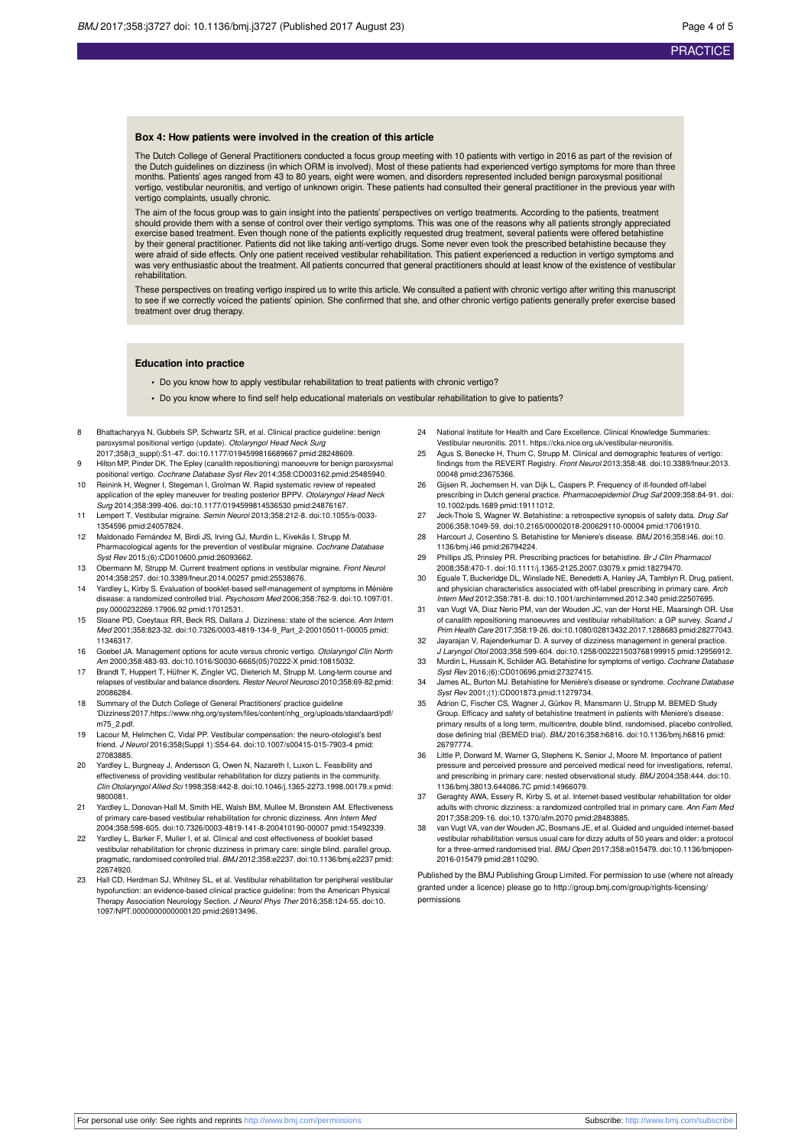#### **Box 4: How patients were involved in the creation of this article**

The Dutch College of General Practitioners conducted a focus group meeting with 10 patients with vertigo in 2016 as part of the revision of the Dutch guidelines on dizziness (in which ORM is involved). Most of these patients had experienced vertigo symptoms for more than three months. Patients' ages ranged from 43 to 80 years, eight were women, and disorders represented included benign paroxysmal positional<br>vertigo, vestibular neuronitis, and vertigo of unknown origin. These patients had consult vertigo complaints, usually chronic.

The aim of the focus group was to gain insight into the patients' perspectives on vertigo treatments. According to the patients, treatment should provide them with a sense of control over their vertigo symptoms. This was one of the reasons why all patients strongly appreciated<br>exercise based treatment. Even though none of the patients explicitly requested dru by their general practitioner. Patients did not like taking anti-vertigo drugs. Some never even took the prescribed betahistine because they were afraid of side effects. Only one patient received vestibular rehabilitation. This patient experienced a reduction in vertigo symptoms and was very enthusiastic about the treatment. All patients concurred that general practitioners should at least know of the existence of vestibular rehabilitation.

These perspectives on treating vertigo inspired us to write this article. We consulted a patient with chronic vertigo after writing this manuscript to see if we correctly voiced the patients' opinion. She confirmed that she, and other chronic vertigo patients generally prefer exercise based treatment over drug therapy.

#### **Education into practice**

- **•** Do you know how to apply vestibular rehabilitation to treat patients with chronic vertigo?
- **•** Do you know where to find self help educational materials on vestibular rehabilitation to give to patients?
- 8 Bhattacharyya N, Gubbels SP, Schwartz SR, et al. Clinical practice guideline: benign paroxysmal positional vertigo (update). Otolaryngol Head Neck Surg 2017;358(3\_suppl):S1-47. [doi:10.1177/0194599816689667](http://dx.doi.org/10.1177/0194599816689667) [pmid:28248609.](http://www.ncbi.nlm.nih.gov/pubmed/?term=28248609)
- 9 Hilton MP, Pinder DK. The Epley (canalith repositioning) manoeuvre for benign paroxysmal positional vertigo. Cochrane Database Syst Rev 2014;358:CD003162.[pmid:25485940](http://www.ncbi.nlm.nih.gov/pubmed/?term=25485940).
- Reinink H, Wegner I, Stegeman I, Grolman W. Rapid systematic review of repeated application of the epley maneuver for treating posterior BPPV. Otolaryngol Head Neck<br>Surg 2014;358:399-406. [doi:10.1177/0194599814536530](http://dx.doi.org/10.1177/0194599814536530) [pmid:24876167](http://www.ncbi.nlm.nih.gov/pubmed/?term=24876167).
- 11 Lempert T. Vestibular migraine. Semin Neurol 2013;358:212-8. [doi:10.1055/s-0033-](http://dx.doi.org/10.1055/s-0033-1354596) [1354596](http://dx.doi.org/10.1055/s-0033-1354596) [pmid:24057824](http://www.ncbi.nlm.nih.gov/pubmed/?term=24057824).
- 12 Maldonado Fernández M, Birdi JS, Irving GJ, Murdin L, Kivekäs I, Strupp M. Pharmacological agents for the prevention of vestibular migraine. Cochrane Database Syst Rev 2015;(6):CD010600[.pmid:26093662](http://www.ncbi.nlm.nih.gov/pubmed/?term=26093662).
- 13 Obermann M, Strupp M. Current treatment options in vestibular migraine. Front Neurol 2014;358:257. [doi:10.3389/fneur.2014.00257](http://dx.doi.org/10.3389/fneur.2014.00257) [pmid:25538676](http://www.ncbi.nlm.nih.gov/pubmed/?term=25538676).
- 14 Yardley L, Kirby S. Evaluation of booklet-based self-management of symptoms in Ménière disease: a randomized controlled trial. Psychosom Med 2006;358:762-9. [doi:10.1097/01.](http://dx.doi.org/10.1097/01.psy.0000232269.17906.92) [psy.0000232269.17906.92](http://dx.doi.org/10.1097/01.psy.0000232269.17906.92) [pmid:17012531](http://www.ncbi.nlm.nih.gov/pubmed/?term=17012531).
- 15 Sloane PD, Coeytaux RR, Beck RS, Dallara J. Dizziness: state of the science. Ann Intern Med 2001;358:823-32. [doi:10.7326/0003-4819-134-9\\_Part\\_2-200105011-00005](http://dx.doi.org/10.7326/0003-4819-134-9_Part_2-200105011-00005) [pmid:](http://www.ncbi.nlm.nih.gov/pubmed/?term=11346317) [11346317.](http://www.ncbi.nlm.nih.gov/pubmed/?term=11346317)
- 16 Goebel JA. Management options for acute versus chronic vertigo. Otolaryngol Clin North Am 2000;358:483-93. [doi:10.1016/S0030-6665\(05\)70222-X](http://dx.doi.org/10.1016/S0030-6665(05)70222-X) [pmid:10815032](http://www.ncbi.nlm.nih.gov/pubmed/?term=10815032).
- 17 Brandt T, Huppert T, Hüfner K, Zingler VC, Dieterich M, Strupp M. Long-term course and relapses of vestibular and balance disorders. Restor Neurol Neurosci 2010;358:69-82[.pmid:](http://www.ncbi.nlm.nih.gov/pubmed/?term=20086284) [20086284.](http://www.ncbi.nlm.nih.gov/pubmed/?term=20086284)
- 18 Summary of the Dutch College of General Practitioners' practice guideline 'Dizziness'2017.https://www.nhg.org/system/files/content/nhg\_org/uploads/standaard/pdf/ m75\_2.pdf.
- 19 Lacour M, Helmchen C, Vidal PP. Vestibular compensation: the neuro-otologist's best friend. J Neurol 2016;358(Suppl 1):S54-64. [doi:10.1007/s00415-015-7903-4](http://dx.doi.org/10.1007/s00415-015-7903-4) [pmid:](http://www.ncbi.nlm.nih.gov/pubmed/?term=27083885) [27083885.](http://www.ncbi.nlm.nih.gov/pubmed/?term=27083885)
- 20 Yardley L, Burgneay J, Andersson G, Owen N, Nazareth I, Luxon L. Feasibility and effectiveness of providing vestibular rehabilitation for dizzy patients in the community. Clin Otolaryngol Allied Sci 1998;358:442-8. [doi:10.1046/j.1365-2273.1998.00179.x](http://dx.doi.org/10.1046/j.1365-2273.1998.00179.x) [pmid:](http://www.ncbi.nlm.nih.gov/pubmed/?term=9800081) [9800081.](http://www.ncbi.nlm.nih.gov/pubmed/?term=9800081)
- 21 Yardley L, Donovan-Hall M, Smith HE, Walsh BM, Mullee M, Bronstein AM. Effectiveness of primary care-based vestibular rehabilitation for chronic dizziness. Ann Intern Med 2004;358:598-605. [doi:10.7326/0003-4819-141-8-200410190-00007](http://dx.doi.org/10.7326/0003-4819-141-8-200410190-00007) [pmid:15492339.](http://www.ncbi.nlm.nih.gov/pubmed/?term=15492339)
- 22 Yardley L, Barker F, Muller I, et al. Clinical and cost effectiveness of booklet based vestibular rehabilitation for chronic dizziness in primary care: single blind, parallel group, pragmatic, randomised controlled trial. BMJ 2012;358:e2237. [doi:10.1136/bmj.e2237](http://dx.doi.org/10.1136/bmj.e2237) [pmid:](http://www.ncbi.nlm.nih.gov/pubmed/?term=22674920) [22674920.](http://www.ncbi.nlm.nih.gov/pubmed/?term=22674920)
- 23 Hall CD, Herdman SJ, Whitney SL, et al. Vestibular rehabilitation for peripheral vestibular hypofunction: an evidence-based clinical practice guideline: from the American Physical Therapy Association Neurology Section. J Neurol Phys Ther 2016;358:124-55. [doi:10.](http://dx.doi.org/10.1097/NPT.0000000000000120) [1097/NPT.0000000000000120](http://dx.doi.org/10.1097/NPT.0000000000000120) [pmid:26913496.](http://www.ncbi.nlm.nih.gov/pubmed/?term=26913496)
- 24 National Institute for Health and Care Excellence. Clinical Knowledge Summaries: Vestibular neuronitis. 2011. https://cks.nice.org.uk/vestibular-neuronitis.
- 25 Agus S, Benecke H, Thum C, Strupp M. Clinical and demographic features of vertigo: findings from the REVERT Registry. Front Neurol 2013;358:48. [doi:10.3389/fneur.2013.](http://dx.doi.org/10.3389/fneur.2013.00048) [00048](http://dx.doi.org/10.3389/fneur.2013.00048) [pmid:23675366.](http://www.ncbi.nlm.nih.gov/pubmed/?term=23675366)
- Gijsen R, Jochemsen H, van Dijk L, Caspers P. Frequency of ill-founded off-labe prescribing in Dutch general practice. Pharmacoepidemiol Drug Saf 2009;358:84-91. [doi:](http://dx.doi.org/10.1002/pds.1689)<br>[10.1002/pds.1689](http://dx.doi.org/10.1002/pds.1689) [pmid:19111012.](http://www.ncbi.nlm.nih.gov/pubmed/?term=19111012)
- Jeck-Thole S, Wagner W. Betahistine: a retrospective synopsis of safety data. Drug Saf 2006;358:1049-59. [doi:10.2165/00002018-200629110-00004](http://dx.doi.org/10.2165/00002018-200629110-00004) [pmid:17061910](http://www.ncbi.nlm.nih.gov/pubmed/?term=17061910).
- 28 Harcourt J, Cosentino S, Betahistine for Meniere's disease. BMJ 2016:358:i46. [doi:10.](http://dx.doi.org/10.1136/bmj.i46) [1136/bmj.i46](http://dx.doi.org/10.1136/bmj.i46) [pmid:26794224](http://www.ncbi.nlm.nih.gov/pubmed/?term=26794224).
- 29 Phillips JS, Prinsley PR. Prescribing practices for betahistine. Br J Clin Phar 2008;358:470-1. [doi:10.1111/j.1365-2125.2007.03079.x](http://dx.doi.org/10.1111/j.1365-2125.2007.03079.x) [pmid:18279470.](http://www.ncbi.nlm.nih.gov/pubmed/?term=18279470)
- 30 Eguale T, Buckeridge DL, Winslade NE, Benedetti A, Hanley JA, Tamblyn R. Drug, patient, and physician characteristics associated with off-label prescribing in primary care. Arch Intern Med 2012;358:781-8. [doi:10.1001/archinternmed.2012.340](http://dx.doi.org/10.1001/archinternmed.2012.340) [pmid:22507695](http://www.ncbi.nlm.nih.gov/pubmed/?term=22507695).
- 31 van Vugt VA, Diaz Nerio PM, van der Wouden JC, van der Horst HE, Maarsingh OR. Use of canalith repositioning manoeuvres and vestibular rehabilitation: a GP survey. Scand J Prim Health Care 2017;358:19-26. [doi:10.1080/02813432.2017.1288683](http://dx.doi.org/10.1080/02813432.2017.1288683) [pmid:28277043](http://www.ncbi.nlm.nih.gov/pubmed/?term=28277043). 32 Jayarajan V, Rajenderkumar D. A survey of dizziness management in general practi
- J Laryngol Otol 2003;358:599-604. [doi:10.1258/002221503768199915](http://dx.doi.org/10.1258/002221503768199915) [pmid:12956912](http://www.ncbi.nlm.nih.gov/pubmed/?term=12956912). 33 Murdin L, Hussain K, Schilder AG. Betahistine for symptoms of vertigo. Cochrane Database
- Syst Rev 2016;(6):CD010696[.pmid:27327415](http://www.ncbi.nlm.nih.gov/pubmed/?term=27327415). 34 James AL, Burton MJ. Betahistine for Menière's disease or syndrome. Cochrane Database Syst Rev 2001;(1):CD001873[.pmid:11279734](http://www.ncbi.nlm.nih.gov/pubmed/?term=11279734).
- 35 Adrion C, Fischer CS, Wagner J, Gürkov R, Mansmann U, Strupp M. BEMED Study Group. Efficacy and safety of betahistine treatment in patients with Meniere's disease primary results of a long term, multicentre, double blind, randomised, placebo controlled, dose defining trial (BEMED trial). BMJ 2016;358:h6816. [doi:10.1136/bmj.h6816](http://dx.doi.org/10.1136/bmj.h6816) [pmid:](http://www.ncbi.nlm.nih.gov/pubmed/?term=26797774) [26797774.](http://www.ncbi.nlm.nih.gov/pubmed/?term=26797774)
- Little P, Dorward M, Warner G, Stephens K, Senior J, Moore M. Importance of patient pressure and perceived pressure and perceived medical need for investigations, referral, and prescribing in primary care: nested observational study. BMJ 2004;358:444. [doi:10.](http://dx.doi.org/10.1136/bmj.38013.644086.7C) [1136/bmj.38013.644086.7C](http://dx.doi.org/10.1136/bmj.38013.644086.7C) [pmid:14966079](http://www.ncbi.nlm.nih.gov/pubmed/?term=14966079).
- 37 Geraghty AWA, Essery R, Kirby S, et al. Internet-based vestibular rehabilitation for older adults with chronic dizziness: a randomized controlled trial in primary care. Ann Fam Med 2017;358:209-16. [doi:10.1370/afm.2070](http://dx.doi.org/10.1370/afm.2070) [pmid:28483885.](http://www.ncbi.nlm.nih.gov/pubmed/?term=28483885)
- 38 van Vugt VA, van der Wouden JC, Bosmans JE, et al. Guided and unguided internet-based vestibular rehabilitation versus usual care for dizzy adults of 50 years and older: a protocol for a three-armed randomised trial. BMJ Open 2017;358:e015479. [doi:10.1136/bmjopen-](http://dx.doi.org/10.1136/bmjopen-2016-015479)[2016-015479](http://dx.doi.org/10.1136/bmjopen-2016-015479) [pmid:28110290](http://www.ncbi.nlm.nih.gov/pubmed/?term=28110290).

Published by the BMJ Publishing Group Limited. For permission to use (where not already granted under a licence) please go to [http://group.bmj.com/group/rights-licensing/](http://group.bmj.com/group/rights-licensing/permissions) [permissions](http://group.bmj.com/group/rights-licensing/permissions)